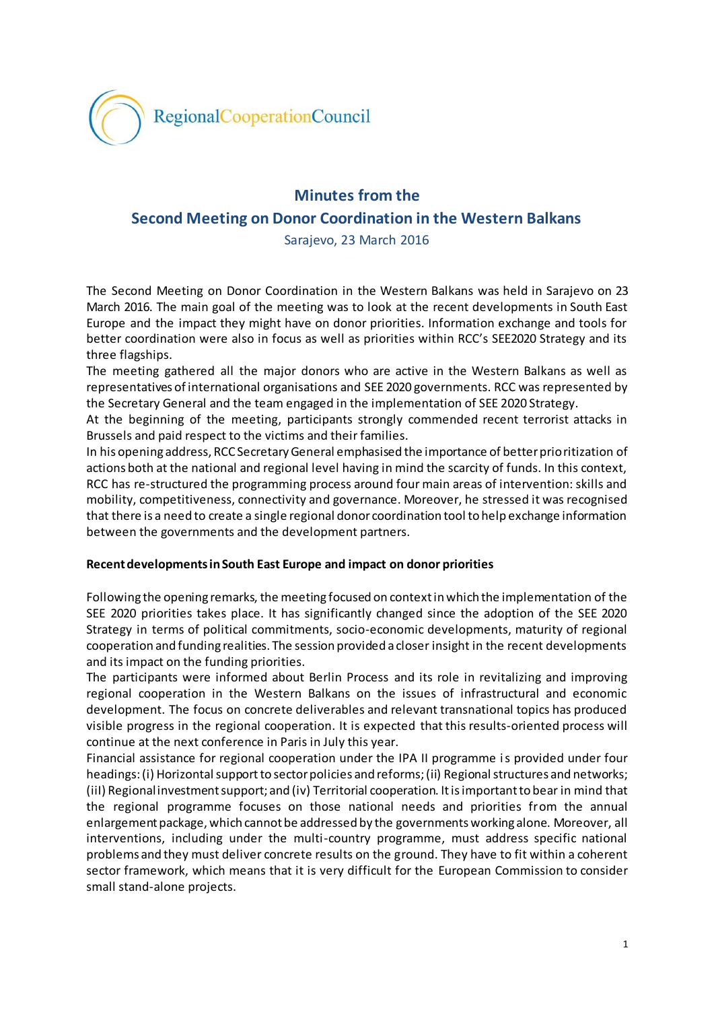

# **Minutes from the**

## **Second Meeting on Donor Coordination in the Western Balkans**

Sarajevo, 23 March 2016

The Second Meeting on Donor Coordination in the Western Balkans was held in Sarajevo on 23 March 2016. The main goal of the meeting was to look at the recent developments in South East Europe and the impact they might have on donor priorities. Information exchange and tools for better coordination were also in focus as well as priorities within RCC's SEE2020 Strategy and its three flagships.

The meeting gathered all the major donors who are active in the Western Balkans as well as representatives of international organisations and SEE 2020 governments. RCC was represented by the Secretary General and the team engaged in the implementation of SEE 2020 Strategy.

At the beginning of the meeting, participants strongly commended recent terrorist attacks in Brussels and paid respect to the victims and their families.

In his opening address, RCC Secretary General emphasised the importance of better prioritization of actions both at the national and regional level having in mind the scarcity of funds. In this context, RCC has re-structured the programming process around four main areas of intervention: skills and mobility, competitiveness, connectivity and governance. Moreover, he stressed it was recognised that there is a need to create a single regional donor coordination tool to help exchange information between the governments and the development partners.

### **Recent developments in South East Europe and impact on donor priorities**

Following the opening remarks, the meeting focused on context in which the implementation of the SEE 2020 priorities takes place. It has significantly changed since the adoption of the SEE 2020 Strategy in terms of political commitments, socio-economic developments, maturity of regional cooperation and funding realities. The session provided a closer insight in the recent developments and its impact on the funding priorities.

The participants were informed about Berlin Process and its role in revitalizing and improving regional cooperation in the Western Balkans on the issues of infrastructural and economic development. The focus on concrete deliverables and relevant transnational topics has produced visible progress in the regional cooperation. It is expected that this results-oriented process will continue at the next conference in Paris in July this year.

Financial assistance for regional cooperation under the IPA II programme is provided under four headings: (i) Horizontal support to sector policies and reforms; (ii) Regional structures and networks; (iiI) Regional investment support; and (iv) Territorial cooperation. It is important to bear in mind that the regional programme focuses on those national needs and priorities from the annual enlargement package, which cannot be addressed by the governments working alone. Moreover, all interventions, including under the multi-country programme, must address specific national problems and they must deliver concrete results on the ground. They have to fit within a coherent sector framework, which means that it is very difficult for the European Commission to consider small stand-alone projects.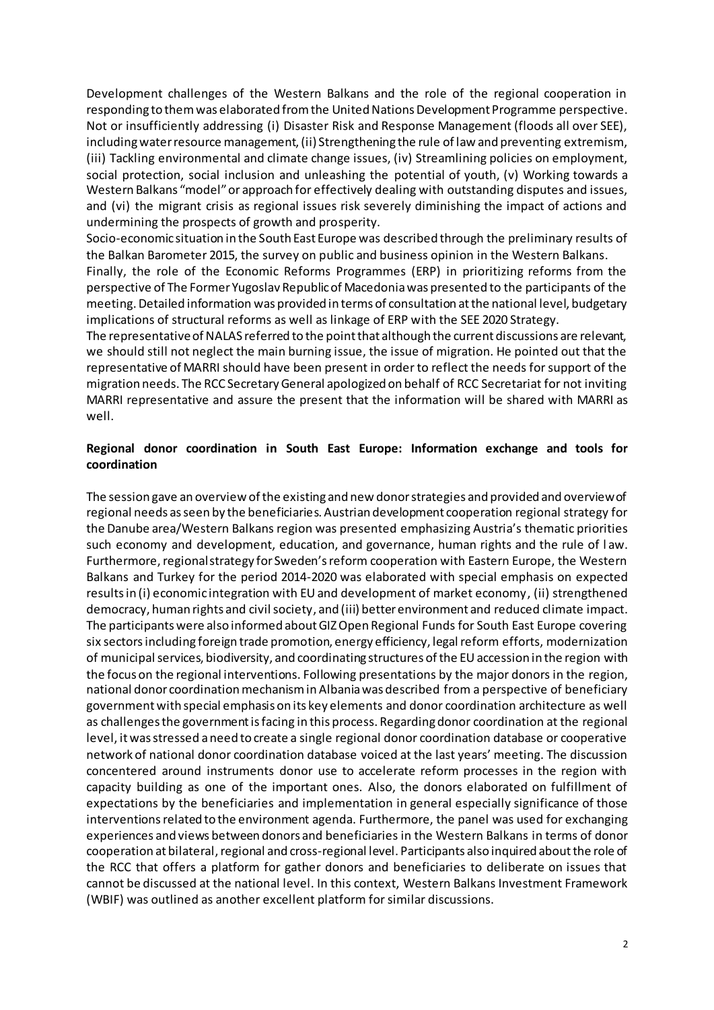Development challenges of the Western Balkans and the role of the regional cooperation in responding to them was elaborated from the United Nations Development Programme perspective. Not or insufficiently addressing (i) Disaster Risk and Response Management (floods all over SEE), including water resource management, (ii) Strengthening the rule of law and preventing extremism, (iii) Tackling environmental and climate change issues, (iv) Streamlining policies on employment, social protection, social inclusion and unleashing the potential of youth, (v) Working towards a Western Balkans "model" or approach for effectively dealing with outstanding disputes and issues, and (vi) the migrant crisis as regional issues risk severely diminishing the impact of actions and undermining the prospects of growth and prosperity.

Socio-economic situation in the South East Europe was described through the preliminary results of the Balkan Barometer 2015, the survey on public and business opinion in the Western Balkans.

Finally, the role of the Economic Reforms Programmes (ERP) in prioritizing reforms from the perspective of The Former Yugoslav Republic of Macedonia was presented to the participants of the meeting. Detailed information was provided in terms of consultation at the national level, budgetary implications of structural reforms as well as linkage of ERP with the SEE 2020 Strategy.

The representative of NALAS referred to the point that although the current discussions are relevant, we should still not neglect the main burning issue, the issue of migration. He pointed out that the representative of MARRI should have been present in order to reflect the needs for support of the migration needs. The RCC Secretary General apologized on behalf of RCC Secretariat for not inviting MARRI representative and assure the present that the information will be shared with MARRI as well.

#### **Regional donor coordination in South East Europe: Information exchange and tools for coordination**

The session gave an overview of the existing and new donor strategies and provided and overview of regional needs as seen by the beneficiaries. Austrian development cooperation regional strategy for the Danube area/Western Balkans region was presented emphasizing Austria's thematic priorities such economy and development, education, and governance, human rights and the rule of l aw. Furthermore, regional strategy for Sweden's reform cooperation with Eastern Europe, the Western Balkans and Turkey for the period 2014-2020 was elaborated with special emphasis on expected results in (i) economic integration with EU and development of market economy, (ii) strengthened democracy, human rights and civil society, and (iii) better environment and reduced climate impact. The participants were also informed about GIZ Open Regional Funds for South East Europe covering six sectorsincluding foreign trade promotion, energy efficiency, legal reform efforts, modernization of municipal services, biodiversity, and coordinating structures of the EU accession in the region with the focus on the regional interventions. Following presentations by the major donors in the region, national donor coordination mechanism in Albania was described from a perspective of beneficiary government with special emphasis on its key elements and donor coordination architecture as well as challenges the government is facing in this process. Regarding donor coordination at the regional level, it was stressed a need to create a single regional donor coordination database or cooperative network of national donor coordination database voiced at the last years' meeting. The discussion concentered around instruments donor use to accelerate reform processes in the region with capacity building as one of the important ones. Also, the donors elaborated on fulfillment of expectations by the beneficiaries and implementation in general especially significance of those interventions related to the environment agenda. Furthermore, the panel was used for exchanging experiences and views between donors and beneficiaries in the Western Balkans in terms of donor cooperation at bilateral, regional and cross-regional level. Participants also inquired about the role of the RCC that offers a platform for gather donors and beneficiaries to deliberate on issues that cannot be discussed at the national level. In this context, Western Balkans Investment Framework (WBIF) was outlined as another excellent platform for similar discussions.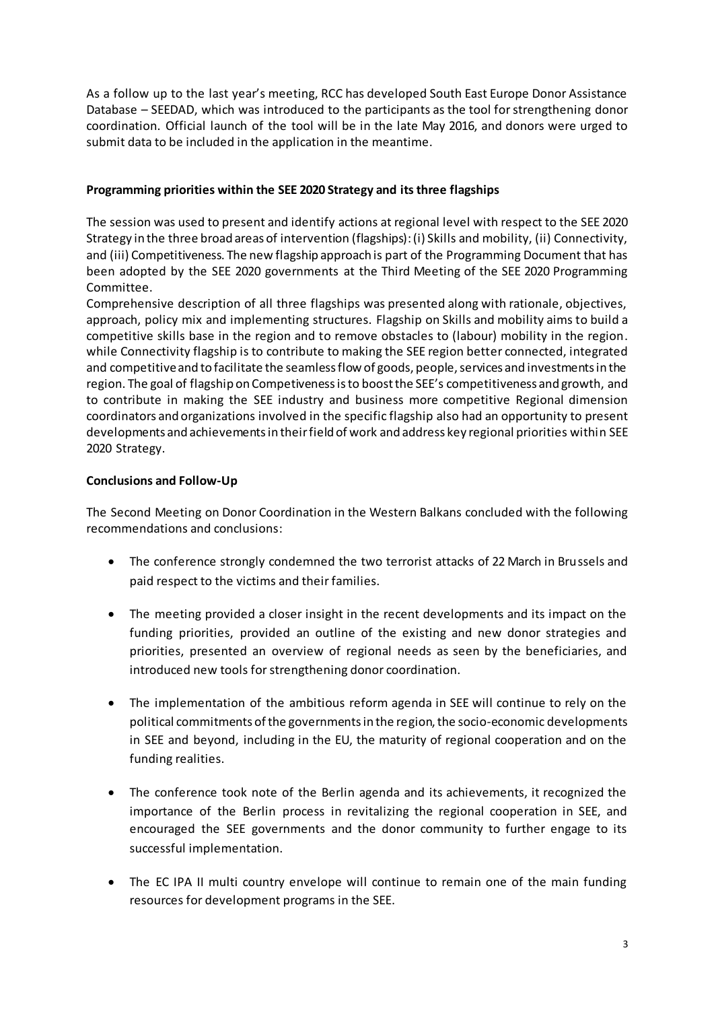As a follow up to the last year's meeting, RCC has developed South East Europe Donor Assistance Database – SEEDAD, which was introduced to the participants as the tool for strengthening donor coordination. Official launch of the tool will be in the late May 2016, and donors were urged to submit data to be included in the application in the meantime.

### **Programming priorities within the SEE 2020 Strategy and its three flagships**

The session was used to present and identify actions at regional level with respect to the SEE 2020 Strategy in the three broad areas of intervention (flagships): (i) Skills and mobility, (ii) Connectivity, and (iii) Competitiveness. The new flagship approach is part of the Programming Document that has been adopted by the SEE 2020 governments at the Third Meeting of the SEE 2020 Programming Committee.

Comprehensive description of all three flagships was presented along with rationale, objectives, approach, policy mix and implementing structures. Flagship on Skills and mobility aims to build a competitive skills base in the region and to remove obstacles to (labour) mobility in the region. while Connectivity flagship is to contribute to making the SEE region better connected, integrated and competitive and to facilitate the seamless flow of goods, people, services and investments in the region. The goal of flagship on Competiveness is to boost the SEE's competitiveness and growth, and to contribute in making the SEE industry and business more competitive Regional dimension coordinators and organizations involved in the specific flagship also had an opportunity to present developments and achievements in their field of work and address key regional priorities within SEE 2020 Strategy.

## **Conclusions and Follow-Up**

The Second Meeting on Donor Coordination in the Western Balkans concluded with the following recommendations and conclusions:

- The conference strongly condemned the two terrorist attacks of 22 March in Brussels and paid respect to the victims and their families.
- The meeting provided a closer insight in the recent developments and its impact on the funding priorities, provided an outline of the existing and new donor strategies and priorities, presented an overview of regional needs as seen by the beneficiaries, and introduced new tools for strengthening donor coordination.
- The implementation of the ambitious reform agenda in SEE will continue to rely on the political commitments of the governments in the region, the socio-economic developments in SEE and beyond, including in the EU, the maturity of regional cooperation and on the funding realities.
- The conference took note of the Berlin agenda and its achievements, it recognized the importance of the Berlin process in revitalizing the regional cooperation in SEE, and encouraged the SEE governments and the donor community to further engage to its successful implementation.
- The EC IPA II multi country envelope will continue to remain one of the main funding resources for development programs in the SEE.